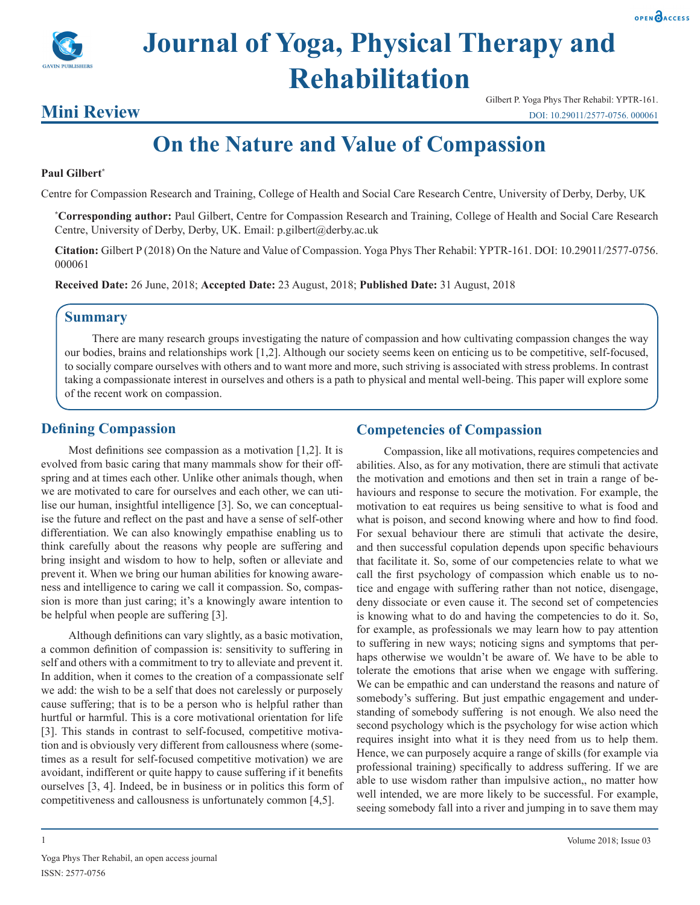



## **Mini Review**

# **On the Nature and Value of Compassion**

#### **Paul Gilbert\***

Centre for Compassion Research and Training, College of Health and Social Care Research Centre, University of Derby, Derby, UK

**\* Corresponding author:** Paul Gilbert, Centre for Compassion Research and Training, College of Health and Social Care Research Centre, University of Derby, Derby, UK. Email: p.gilbert@derby.ac.uk

**Citation:** Gilbert P (2018) On the Nature and Value of Compassion. Yoga Phys Ther Rehabil: YPTR-161. DOI: 10.29011/2577-0756. 000061

**Received Date:** 26 June, 2018; **Accepted Date:** 23 August, 2018; **Published Date:** 31 August, 2018

## **Summary**

There are many research groups investigating the nature of compassion and how cultivating compassion changes the way our bodies, brains and relationships work [1,2]. Although our society seems keen on enticing us to be competitive, self-focused, to socially compare ourselves with others and to want more and more, such striving is associated with stress problems. In contrast taking a compassionate interest in ourselves and others is a path to physical and mental well-being. This paper will explore some of the recent work on compassion.

## **Defining Compassion**

Most definitions see compassion as a motivation [1,2]. It is evolved from basic caring that many mammals show for their offspring and at times each other. Unlike other animals though, when we are motivated to care for ourselves and each other, we can utilise our human, insightful intelligence [3]. So, we can conceptualise the future and reflect on the past and have a sense of self-other differentiation. We can also knowingly empathise enabling us to think carefully about the reasons why people are suffering and bring insight and wisdom to how to help, soften or alleviate and prevent it. When we bring our human abilities for knowing awareness and intelligence to caring we call it compassion. So, compassion is more than just caring; it's a knowingly aware intention to be helpful when people are suffering [3].

Although definitions can vary slightly, as a basic motivation, a common definition of compassion is: sensitivity to suffering in self and others with a commitment to try to alleviate and prevent it. In addition, when it comes to the creation of a compassionate self we add: the wish to be a self that does not carelessly or purposely cause suffering; that is to be a person who is helpful rather than hurtful or harmful. This is a core motivational orientation for life [3]. This stands in contrast to self-focused, competitive motivation and is obviously very different from callousness where (sometimes as a result for self-focused competitive motivation) we are avoidant, indifferent or quite happy to cause suffering if it benefits ourselves [3, 4]. Indeed, be in business or in politics this form of competitiveness and callousness is unfortunately common [4,5].

## **Competencies of Compassion**

Compassion, like all motivations, requires competencies and abilities. Also, as for any motivation, there are stimuli that activate the motivation and emotions and then set in train a range of behaviours and response to secure the motivation. For example, the motivation to eat requires us being sensitive to what is food and what is poison, and second knowing where and how to find food. For sexual behaviour there are stimuli that activate the desire, and then successful copulation depends upon specific behaviours that facilitate it. So, some of our competencies relate to what we call the first psychology of compassion which enable us to notice and engage with suffering rather than not notice, disengage, deny dissociate or even cause it. The second set of competencies is knowing what to do and having the competencies to do it. So, for example, as professionals we may learn how to pay attention to suffering in new ways; noticing signs and symptoms that perhaps otherwise we wouldn't be aware of. We have to be able to tolerate the emotions that arise when we engage with suffering. We can be empathic and can understand the reasons and nature of somebody's suffering. But just empathic engagement and understanding of somebody suffering is not enough. We also need the second psychology which is the psychology for wise action which requires insight into what it is they need from us to help them. Hence, we can purposely acquire a range of skills (for example via professional training) specifically to address suffering. If we are able to use wisdom rather than impulsive action,, no matter how well intended, we are more likely to be successful. For example, seeing somebody fall into a river and jumping in to save them may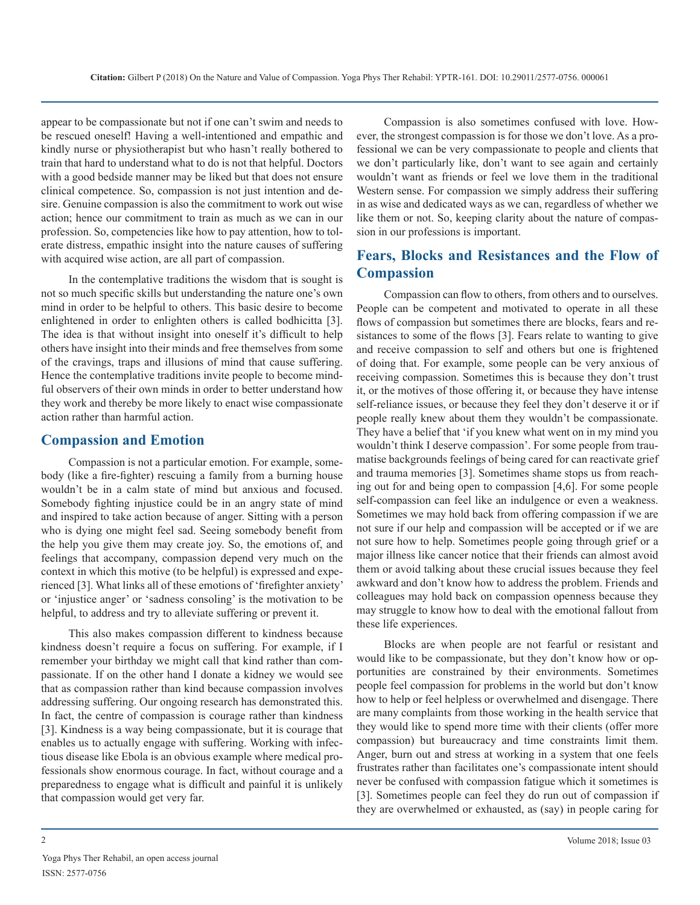appear to be compassionate but not if one can't swim and needs to be rescued oneself! Having a well-intentioned and empathic and kindly nurse or physiotherapist but who hasn't really bothered to train that hard to understand what to do is not that helpful. Doctors with a good bedside manner may be liked but that does not ensure clinical competence. So, compassion is not just intention and desire. Genuine compassion is also the commitment to work out wise action; hence our commitment to train as much as we can in our profession. So, competencies like how to pay attention, how to tolerate distress, empathic insight into the nature causes of suffering with acquired wise action, are all part of compassion.

In the contemplative traditions the wisdom that is sought is not so much specific skills but understanding the nature one's own mind in order to be helpful to others. This basic desire to become enlightened in order to enlighten others is called bodhicitta [3]. The idea is that without insight into oneself it's difficult to help others have insight into their minds and free themselves from some of the cravings, traps and illusions of mind that cause suffering. Hence the contemplative traditions invite people to become mindful observers of their own minds in order to better understand how they work and thereby be more likely to enact wise compassionate action rather than harmful action.

### **Compassion and Emotion**

Compassion is not a particular emotion. For example, somebody (like a fire-fighter) rescuing a family from a burning house wouldn't be in a calm state of mind but anxious and focused. Somebody fighting injustice could be in an angry state of mind and inspired to take action because of anger. Sitting with a person who is dying one might feel sad. Seeing somebody benefit from the help you give them may create joy. So, the emotions of, and feelings that accompany, compassion depend very much on the context in which this motive (to be helpful) is expressed and experienced [3]. What links all of these emotions of 'firefighter anxiety' or 'injustice anger' or 'sadness consoling' is the motivation to be helpful, to address and try to alleviate suffering or prevent it.

This also makes compassion different to kindness because kindness doesn't require a focus on suffering. For example, if I remember your birthday we might call that kind rather than compassionate. If on the other hand I donate a kidney we would see that as compassion rather than kind because compassion involves addressing suffering. Our ongoing research has demonstrated this. In fact, the centre of compassion is courage rather than kindness [3]. Kindness is a way being compassionate, but it is courage that enables us to actually engage with suffering. Working with infectious disease like Ebola is an obvious example where medical professionals show enormous courage. In fact, without courage and a preparedness to engage what is difficult and painful it is unlikely that compassion would get very far.

Compassion is also sometimes confused with love. However, the strongest compassion is for those we don't love. As a professional we can be very compassionate to people and clients that we don't particularly like, don't want to see again and certainly wouldn't want as friends or feel we love them in the traditional Western sense. For compassion we simply address their suffering in as wise and dedicated ways as we can, regardless of whether we like them or not. So, keeping clarity about the nature of compassion in our professions is important.

## **Fears, Blocks and Resistances and the Flow of Compassion**

Compassion can flow to others, from others and to ourselves. People can be competent and motivated to operate in all these flows of compassion but sometimes there are blocks, fears and resistances to some of the flows [3]. Fears relate to wanting to give and receive compassion to self and others but one is frightened of doing that. For example, some people can be very anxious of receiving compassion. Sometimes this is because they don't trust it, or the motives of those offering it, or because they have intense self-reliance issues, or because they feel they don't deserve it or if people really knew about them they wouldn't be compassionate. They have a belief that 'if you knew what went on in my mind you wouldn't think I deserve compassion'. For some people from traumatise backgrounds feelings of being cared for can reactivate grief and trauma memories [3]. Sometimes shame stops us from reaching out for and being open to compassion [4,6]. For some people self-compassion can feel like an indulgence or even a weakness. Sometimes we may hold back from offering compassion if we are not sure if our help and compassion will be accepted or if we are not sure how to help. Sometimes people going through grief or a major illness like cancer notice that their friends can almost avoid them or avoid talking about these crucial issues because they feel awkward and don't know how to address the problem. Friends and colleagues may hold back on compassion openness because they may struggle to know how to deal with the emotional fallout from these life experiences.

Blocks are when people are not fearful or resistant and would like to be compassionate, but they don't know how or opportunities are constrained by their environments. Sometimes people feel compassion for problems in the world but don't know how to help or feel helpless or overwhelmed and disengage. There are many complaints from those working in the health service that they would like to spend more time with their clients (offer more compassion) but bureaucracy and time constraints limit them. Anger, burn out and stress at working in a system that one feels frustrates rather than facilitates one's compassionate intent should never be confused with compassion fatigue which it sometimes is [3]. Sometimes people can feel they do run out of compassion if they are overwhelmed or exhausted, as (say) in people caring for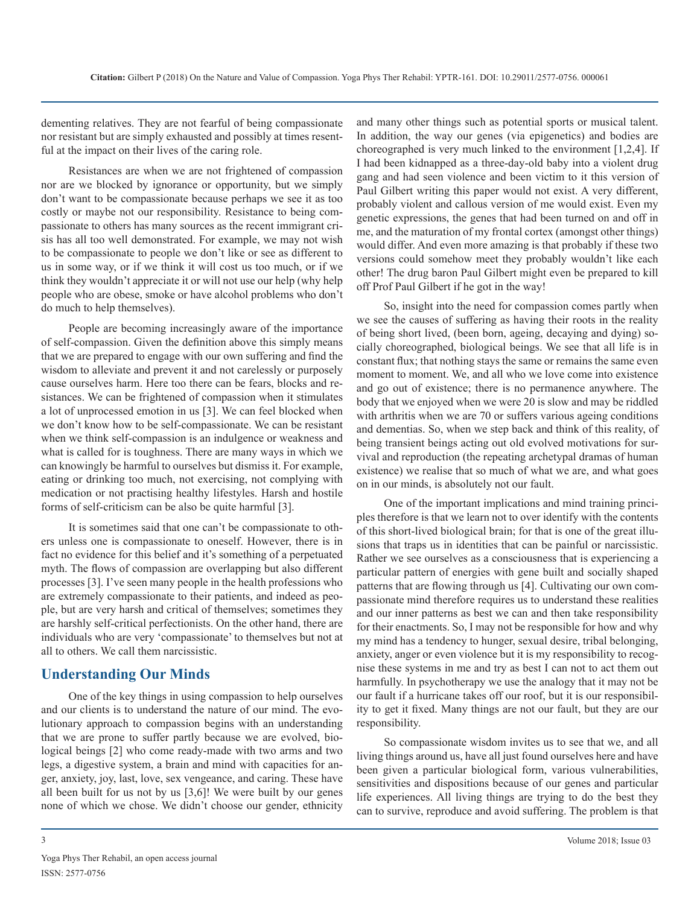dementing relatives. They are not fearful of being compassionate nor resistant but are simply exhausted and possibly at times resentful at the impact on their lives of the caring role.

Resistances are when we are not frightened of compassion nor are we blocked by ignorance or opportunity, but we simply don't want to be compassionate because perhaps we see it as too costly or maybe not our responsibility. Resistance to being compassionate to others has many sources as the recent immigrant crisis has all too well demonstrated. For example, we may not wish to be compassionate to people we don't like or see as different to us in some way, or if we think it will cost us too much, or if we think they wouldn't appreciate it or will not use our help (why help people who are obese, smoke or have alcohol problems who don't do much to help themselves).

People are becoming increasingly aware of the importance of self-compassion. Given the definition above this simply means that we are prepared to engage with our own suffering and find the wisdom to alleviate and prevent it and not carelessly or purposely cause ourselves harm. Here too there can be fears, blocks and resistances. We can be frightened of compassion when it stimulates a lot of unprocessed emotion in us [3]. We can feel blocked when we don't know how to be self-compassionate. We can be resistant when we think self-compassion is an indulgence or weakness and what is called for is toughness. There are many ways in which we can knowingly be harmful to ourselves but dismiss it. For example, eating or drinking too much, not exercising, not complying with medication or not practising healthy lifestyles. Harsh and hostile forms of self-criticism can be also be quite harmful [3].

It is sometimes said that one can't be compassionate to others unless one is compassionate to oneself. However, there is in fact no evidence for this belief and it's something of a perpetuated myth. The flows of compassion are overlapping but also different processes [3]. I've seen many people in the health professions who are extremely compassionate to their patients, and indeed as people, but are very harsh and critical of themselves; sometimes they are harshly self-critical perfectionists. On the other hand, there are individuals who are very 'compassionate' to themselves but not at all to others. We call them narcissistic.

### **Understanding Our Minds**

One of the key things in using compassion to help ourselves and our clients is to understand the nature of our mind. The evolutionary approach to compassion begins with an understanding that we are prone to suffer partly because we are evolved, biological beings [2] who come ready-made with two arms and two legs, a digestive system, a brain and mind with capacities for anger, anxiety, joy, last, love, sex vengeance, and caring. These have all been built for us not by us [3,6]! We were built by our genes none of which we chose. We didn't choose our gender, ethnicity

and many other things such as potential sports or musical talent. In addition, the way our genes (via epigenetics) and bodies are choreographed is very much linked to the environment [1,2,4]. If I had been kidnapped as a three-day-old baby into a violent drug gang and had seen violence and been victim to it this version of Paul Gilbert writing this paper would not exist. A very different, probably violent and callous version of me would exist. Even my genetic expressions, the genes that had been turned on and off in me, and the maturation of my frontal cortex (amongst other things) would differ. And even more amazing is that probably if these two versions could somehow meet they probably wouldn't like each other! The drug baron Paul Gilbert might even be prepared to kill off Prof Paul Gilbert if he got in the way!

So, insight into the need for compassion comes partly when we see the causes of suffering as having their roots in the reality of being short lived, (been born, ageing, decaying and dying) socially choreographed, biological beings. We see that all life is in constant flux; that nothing stays the same or remains the same even moment to moment. We, and all who we love come into existence and go out of existence; there is no permanence anywhere. The body that we enjoyed when we were 20 is slow and may be riddled with arthritis when we are 70 or suffers various ageing conditions and dementias. So, when we step back and think of this reality, of being transient beings acting out old evolved motivations for survival and reproduction (the repeating archetypal dramas of human existence) we realise that so much of what we are, and what goes on in our minds, is absolutely not our fault.

One of the important implications and mind training principles therefore is that we learn not to over identify with the contents of this short-lived biological brain; for that is one of the great illusions that traps us in identities that can be painful or narcissistic. Rather we see ourselves as a consciousness that is experiencing a particular pattern of energies with gene built and socially shaped patterns that are flowing through us [4]. Cultivating our own compassionate mind therefore requires us to understand these realities and our inner patterns as best we can and then take responsibility for their enactments. So, I may not be responsible for how and why my mind has a tendency to hunger, sexual desire, tribal belonging, anxiety, anger or even violence but it is my responsibility to recognise these systems in me and try as best I can not to act them out harmfully. In psychotherapy we use the analogy that it may not be our fault if a hurricane takes off our roof, but it is our responsibility to get it fixed. Many things are not our fault, but they are our responsibility.

So compassionate wisdom invites us to see that we, and all living things around us, have all just found ourselves here and have been given a particular biological form, various vulnerabilities, sensitivities and dispositions because of our genes and particular life experiences. All living things are trying to do the best they can to survive, reproduce and avoid suffering. The problem is that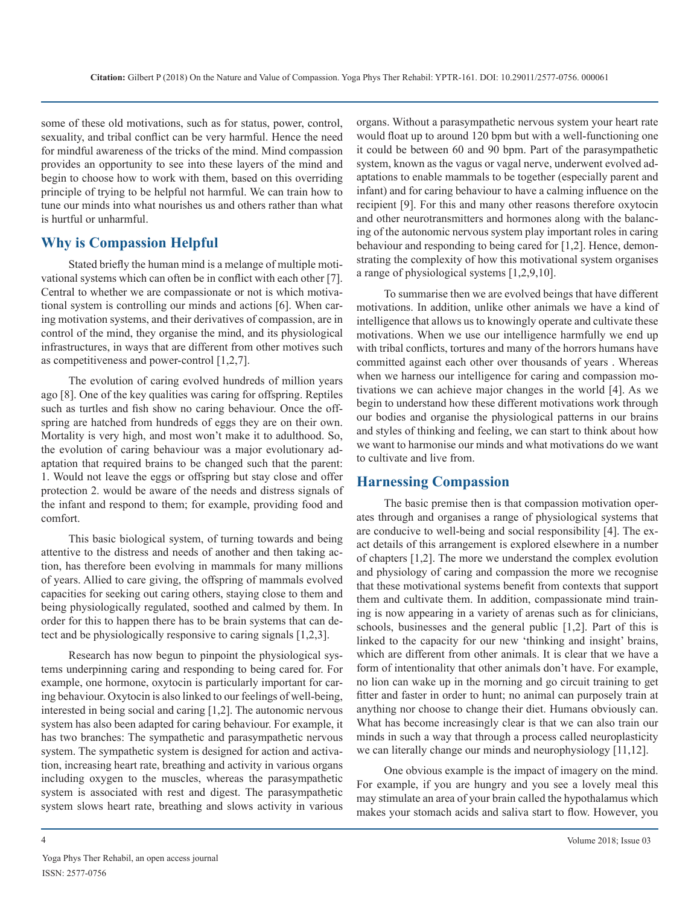some of these old motivations, such as for status, power, control, sexuality, and tribal conflict can be very harmful. Hence the need for mindful awareness of the tricks of the mind. Mind compassion provides an opportunity to see into these layers of the mind and begin to choose how to work with them, based on this overriding principle of trying to be helpful not harmful. We can train how to tune our minds into what nourishes us and others rather than what is hurtful or unharmful.

## **Why is Compassion Helpful**

Stated briefly the human mind is a melange of multiple motivational systems which can often be in conflict with each other [7]. Central to whether we are compassionate or not is which motivational system is controlling our minds and actions [6]. When caring motivation systems, and their derivatives of compassion, are in control of the mind, they organise the mind, and its physiological infrastructures, in ways that are different from other motives such as competitiveness and power-control [1,2,7].

The evolution of caring evolved hundreds of million years ago [8]. One of the key qualities was caring for offspring. Reptiles such as turtles and fish show no caring behaviour. Once the offspring are hatched from hundreds of eggs they are on their own. Mortality is very high, and most won't make it to adulthood. So, the evolution of caring behaviour was a major evolutionary adaptation that required brains to be changed such that the parent: 1. Would not leave the eggs or offspring but stay close and offer protection 2. would be aware of the needs and distress signals of the infant and respond to them; for example, providing food and comfort.

This basic biological system, of turning towards and being attentive to the distress and needs of another and then taking action, has therefore been evolving in mammals for many millions of years. Allied to care giving, the offspring of mammals evolved capacities for seeking out caring others, staying close to them and being physiologically regulated, soothed and calmed by them. In order for this to happen there has to be brain systems that can detect and be physiologically responsive to caring signals [1,2,3].

Research has now begun to pinpoint the physiological systems underpinning caring and responding to being cared for. For example, one hormone, oxytocin is particularly important for caring behaviour. Oxytocin is also linked to our feelings of well-being, interested in being social and caring [1,2]. The autonomic nervous system has also been adapted for caring behaviour. For example, it has two branches: The sympathetic and parasympathetic nervous system. The sympathetic system is designed for action and activation, increasing heart rate, breathing and activity in various organs including oxygen to the muscles, whereas the parasympathetic system is associated with rest and digest. The parasympathetic system slows heart rate, breathing and slows activity in various organs. Without a parasympathetic nervous system your heart rate would float up to around 120 bpm but with a well-functioning one it could be between 60 and 90 bpm. Part of the parasympathetic system, known as the vagus or vagal nerve, underwent evolved adaptations to enable mammals to be together (especially parent and infant) and for caring behaviour to have a calming influence on the recipient [9]. For this and many other reasons therefore oxytocin and other neurotransmitters and hormones along with the balancing of the autonomic nervous system play important roles in caring behaviour and responding to being cared for [1,2]. Hence, demonstrating the complexity of how this motivational system organises a range of physiological systems [1,2,9,10].

To summarise then we are evolved beings that have different motivations. In addition, unlike other animals we have a kind of intelligence that allows us to knowingly operate and cultivate these motivations. When we use our intelligence harmfully we end up with tribal conflicts, tortures and many of the horrors humans have committed against each other over thousands of years . Whereas when we harness our intelligence for caring and compassion motivations we can achieve major changes in the world [4]. As we begin to understand how these different motivations work through our bodies and organise the physiological patterns in our brains and styles of thinking and feeling, we can start to think about how we want to harmonise our minds and what motivations do we want to cultivate and live from.

### **Harnessing Compassion**

The basic premise then is that compassion motivation operates through and organises a range of physiological systems that are conducive to well-being and social responsibility [4]. The exact details of this arrangement is explored elsewhere in a number of chapters [1,2]. The more we understand the complex evolution and physiology of caring and compassion the more we recognise that these motivational systems benefit from contexts that support them and cultivate them. In addition, compassionate mind training is now appearing in a variety of arenas such as for clinicians, schools, businesses and the general public [1,2]. Part of this is linked to the capacity for our new 'thinking and insight' brains, which are different from other animals. It is clear that we have a form of intentionality that other animals don't have. For example, no lion can wake up in the morning and go circuit training to get fitter and faster in order to hunt; no animal can purposely train at anything nor choose to change their diet. Humans obviously can. What has become increasingly clear is that we can also train our minds in such a way that through a process called neuroplasticity we can literally change our minds and neurophysiology [11,12].

One obvious example is the impact of imagery on the mind. For example, if you are hungry and you see a lovely meal this may stimulate an area of your brain called the hypothalamus which makes your stomach acids and saliva start to flow. However, you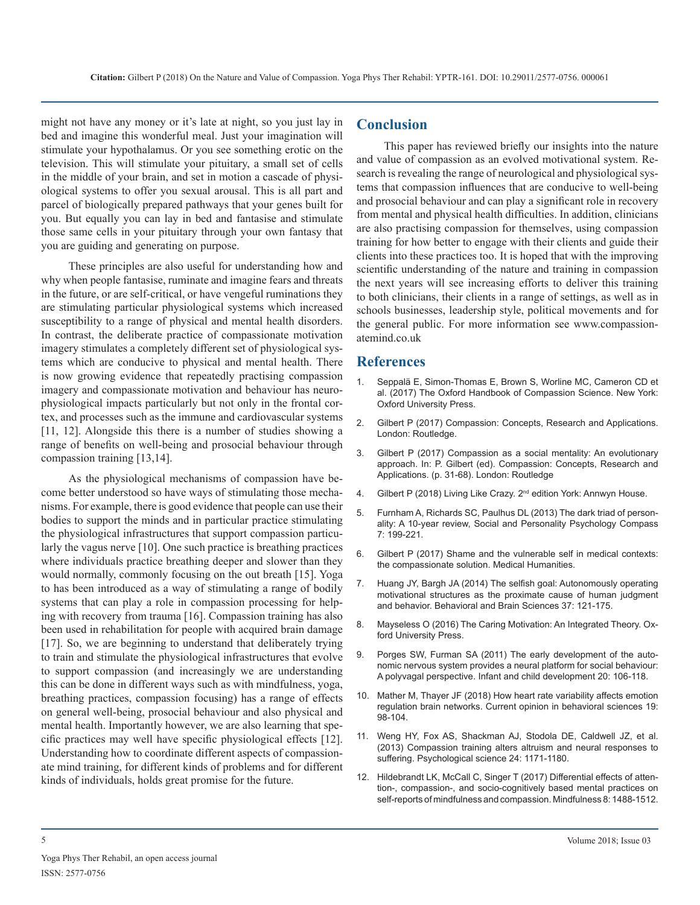might not have any money or it's late at night, so you just lay in bed and imagine this wonderful meal. Just your imagination will stimulate your hypothalamus. Or you see something erotic on the television. This will stimulate your pituitary, a small set of cells in the middle of your brain, and set in motion a cascade of physiological systems to offer you sexual arousal. This is all part and parcel of biologically prepared pathways that your genes built for you. But equally you can lay in bed and fantasise and stimulate those same cells in your pituitary through your own fantasy that you are guiding and generating on purpose.

These principles are also useful for understanding how and why when people fantasise, ruminate and imagine fears and threats in the future, or are self-critical, or have vengeful ruminations they are stimulating particular physiological systems which increased susceptibility to a range of physical and mental health disorders. In contrast, the deliberate practice of compassionate motivation imagery stimulates a completely different set of physiological systems which are conducive to physical and mental health. There is now growing evidence that repeatedly practising compassion [imagery and compassionate motivation and behaviour has neuro](https://global.oup.com/academic/product/the-oxford-handbook-of-compassion-science-9780190464684?cc=in&lang=en&)physiological impacts particularly but not only in the frontal cortex, and processes such as the immune and cardiovascular systems [\[11, 12\]. Alongside this there is a number of studies showing a](https://www.routledge.com/Compassion-Concepts-Research-and-Applications/Gilbert/p/book/9781138957190)  range of benefits on well-being and prosocial behaviour through compassion training [13,14].

As the physiological mechanisms of compassion have become better understood so have ways of stimulating those mechanisms. For example, there is good evidence that people can use their [bodies to support the minds and in particular practice stimulating](https://onlinelibrary.wiley.com/doi/abs/10.1111/spc3.12018)  the physiological infrastructures that support compassion particularly the vagus nerve [10]. One such practice is breathing practices [where individuals practice breathing deeper and slower than they](https://pdfs.semanticscholar.org/a7bb/f86f8a45dc42569fb7f3e38783eccfa10096.pdf)  would normally, commonly focusing on the out breath [15]. Yoga to has been introduced as a way of stimulating a range of bodily systems that can play a role in compassion processing for helping with recovery from trauma [16]. Compassion training has also [been used in rehabilitation for people with acquired brain damage](https://global.oup.com/academic/product/the-caring-motivation-9780199913619?cc=in&lang=en&)  [17]. So, we are beginning to understand that deliberately trying to train and stimulate the physiological infrastructures that evolve to support compassion (and increasingly we are understanding this can be done in different ways such as with mindfulness, yoga, breathing practices, compassion focusing) has a range of effects [on general well-being, prosocial behaviour and also physical and](https://www.ncbi.nlm.nih.gov/pubmed/29333483)  mental health. Importantly however, we are also learning that specific practices may well have specific physiological effects [12]. Understanding how to coordinate different aspects of compassionate mind training, for different kinds of problems and for different kinds of individuals, holds great promise for the future.

## **Conclusion**

This paper has reviewed briefly our insights into the nature and value of compassion as an evolved motivational system. Research is revealing the range of neurological and physiological systems that compassion influences that are conducive to well-being and prosocial behaviour and can play a significant role in recovery from mental and physical health difficulties. In addition, clinicians are also practising compassion for themselves, using compassion training for how better to engage with their clients and guide their clients into these practices too. It is hoped that with the improving scientific understanding of the nature and training in compassion the next years will see increasing efforts to deliver this training to both clinicians, their clients in a range of settings, as well as in schools businesses, leadership style, political movements and for the general public. For more information see www.compassionatemind.co.uk

#### **References**

- 1. [Seppalä E, Simon-Thomas E, Brown S, Worline MC, Cameron CD et](https://global.oup.com/academic/product/the-oxford-handbook-of-compassion-science-9780190464684?cc=in&lang=en&)  al. (2017) The Oxford Handbook of Compassion Science. New York: [Oxford University Press](https://global.oup.com/academic/product/the-oxford-handbook-of-compassion-science-9780190464684?cc=in&lang=en&).
- 2. [Gilbert P \(2017\) Compassion: Concepts, Research and Applications.](https://www.routledge.com/Compassion-Concepts-Research-and-Applications/Gilbert/p/book/9781138957190)  London: Routledge.
- 3. Gilbert P (2017) Compassion as a social mentality: An evolutionary approach. In: P. Gilbert (ed). Compassion: Concepts, Research and Applications. (p. 31-68). London: Routledge
- 4. Gilbert P (2018) Living Like Crazy. 2<sup>nd</sup> edition York: Annwyn House.
- 5. [Furnham A, Richards SC, Paulhus DL \(2013\) The dark triad of person](https://onlinelibrary.wiley.com/doi/abs/10.1111/spc3.12018)ality: A 10-year review, Social and Personality Psychology Compass [7: 199-221](https://onlinelibrary.wiley.com/doi/abs/10.1111/spc3.12018).
- 6. [Gilbert P \(2017\) Shame and the vulnerable self in medical contexts:](https://pdfs.semanticscholar.org/a7bb/f86f8a45dc42569fb7f3e38783eccfa10096.pdf)  the compassionate solution. Medical Humanities.
- 7. [Huang JY, Bargh JA \(2014\) The selfish goal: Autonomously operating](https://www.ncbi.nlm.nih.gov/pubmed/24775120)  [motivational structures as the proximate cause of human judgment](https://www.ncbi.nlm.nih.gov/pubmed/24775120)  [and behavior. Behavioral and Brain Sciences 37: 121-175](https://www.ncbi.nlm.nih.gov/pubmed/24775120).
- 8. [Mayseless O \(2016\) The Caring Motivation: An Integrated Theory. Ox](https://global.oup.com/academic/product/the-caring-motivation-9780199913619?cc=in&lang=en&)ford University Press.
- 9. [Porges SW, Furman SA \(2011\) The early development of the auto](https://www.ncbi.nlm.nih.gov/pubmed/21516219)[nomic nervous system provides a neural platform for social behaviour:](https://www.ncbi.nlm.nih.gov/pubmed/21516219)  A polyvagal perspective. [Infant and child development](https://www.ncbi.nlm.nih.gov/pubmed/21516219) 20: 106-118.
- 10. [Mather M, Thayer JF \(2018\) How heart rate variability affects emotion](https://www.ncbi.nlm.nih.gov/pubmed/29333483)  regulation brain networks. Current opinion in behavioral sciences 19: [98-104.](https://www.ncbi.nlm.nih.gov/pubmed/29333483)
- 11. [Weng HY, Fox AS, Shackman AJ, Stodola DE, Caldwell JZ, et al.](http://journals.sagepub.com/doi/abs/10.1177/0956797612469537)  [\(2013\) Compassion training alters altruism and neural responses to](http://journals.sagepub.com/doi/abs/10.1177/0956797612469537)  suffering. [Psychological science](http://journals.sagepub.com/doi/abs/10.1177/0956797612469537) 24: 1171-1180.
- 12. [Hildebrandt LK, McCall C, Singer T \(2017\) Differential effects of atten](https://link.springer.com/article/10.1007/s12671-017-0716-z)[tion-, compassion-, and socio-cognitively based mental practices on](https://link.springer.com/article/10.1007/s12671-017-0716-z)  [self-reports of mindfulness and compassion.](https://link.springer.com/article/10.1007/s12671-017-0716-z) Mindfulness 8: 1488-1512.